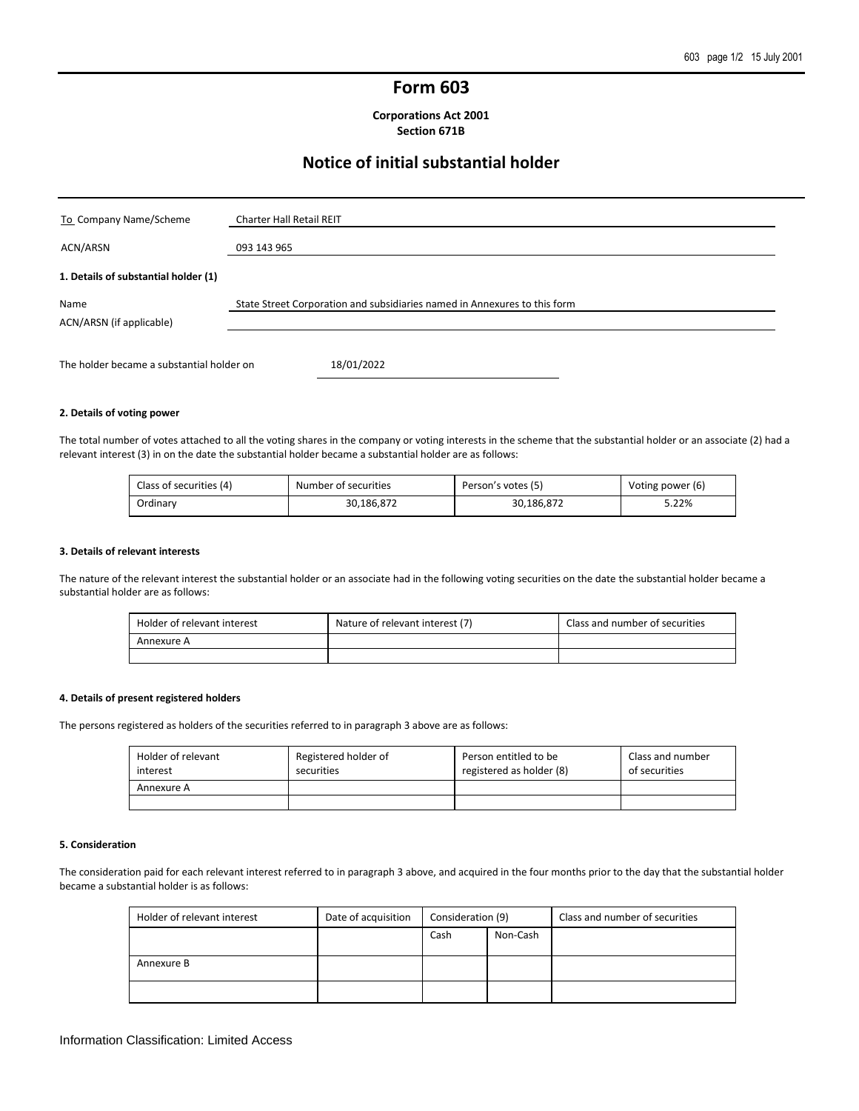# **Form 603**

**Corporations Act 2001 Section 671B**

# **Notice of initial substantial holder**

| To Company Name/Scheme                    | <b>Charter Hall Retail REIT</b>                                           |
|-------------------------------------------|---------------------------------------------------------------------------|
| ACN/ARSN                                  | 093 143 965                                                               |
| 1. Details of substantial holder (1)      |                                                                           |
| Name<br>ACN/ARSN (if applicable)          | State Street Corporation and subsidiaries named in Annexures to this form |
| The holder became a substantial holder on | 18/01/2022                                                                |

#### **2. Details of voting power**

The total number of votes attached to all the voting shares in the company or voting interests in the scheme that the substantial holder or an associate (2) had a relevant interest (3) in on the date the substantial holder became a substantial holder are as follows:

| Class of securities (4) | Number of securities | Person's votes (5) | Voting power (6) |
|-------------------------|----------------------|--------------------|------------------|
| Ordinary                | 30,186,872           | 30,186,872         | 5.22%            |

#### **3. Details of relevant interests**

The nature of the relevant interest the substantial holder or an associate had in the following voting securities on the date the substantial holder became a substantial holder are as follows:

| Holder of relevant interest | Nature of relevant interest (7) | Class and number of securities |
|-----------------------------|---------------------------------|--------------------------------|
| Annexure A                  |                                 |                                |
|                             |                                 |                                |

#### **4. Details of present registered holders**

The persons registered as holders of the securities referred to in paragraph 3 above are as follows:

| Holder of relevant<br>interest | Registered holder of<br>securities | Person entitled to be<br>registered as holder (8) | Class and number<br>of securities |
|--------------------------------|------------------------------------|---------------------------------------------------|-----------------------------------|
| Annexure A                     |                                    |                                                   |                                   |
|                                |                                    |                                                   |                                   |

#### **5. Consideration**

The consideration paid for each relevant interest referred to in paragraph 3 above, and acquired in the four months prior to the day that the substantial holder became a substantial holder is as follows:

| Holder of relevant interest | Date of acquisition | Consideration (9) |          | Class and number of securities |
|-----------------------------|---------------------|-------------------|----------|--------------------------------|
|                             |                     | Cash              | Non-Cash |                                |
|                             |                     |                   |          |                                |
| Annexure B                  |                     |                   |          |                                |
|                             |                     |                   |          |                                |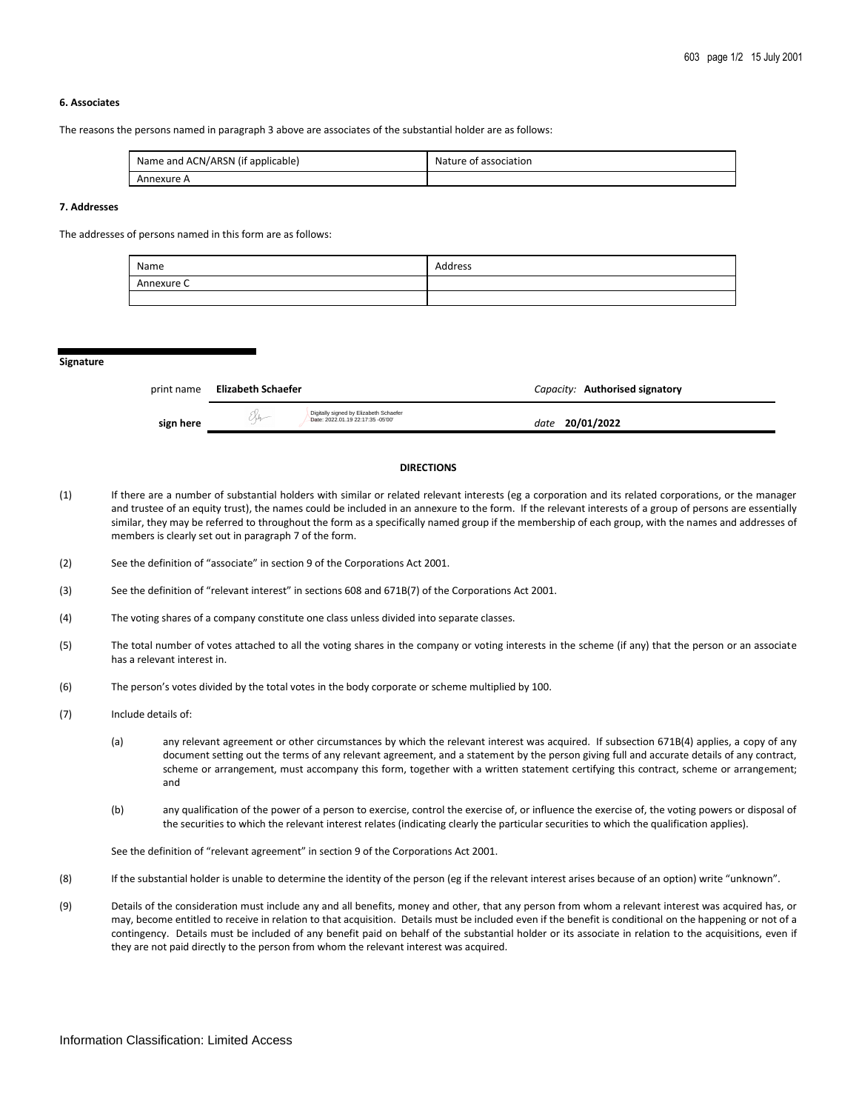#### **6. Associates**

The reasons the persons named in paragraph 3 above are associates of the substantial holder are as follows:

| Name and ACN/ARSN (if applicable) | Nature of association |
|-----------------------------------|-----------------------|
| Annexure A                        |                       |

#### **7. Addresses**

The addresses of persons named in this form are as follows:

| Name       | Address |
|------------|---------|
| Annexure C |         |
|            |         |

**Signature**

| print name | Elizabeth Schaefer                                                          | Capacity: Authorised signatory |
|------------|-----------------------------------------------------------------------------|--------------------------------|
| sign here  | Digitally signed by Elizabeth Schaefer<br>Date: 2022.01.19 22:17:35 -05'00" | 20/01/2022<br>date             |

## **DIRECTIONS**

- (1) If there are a number of substantial holders with similar or related relevant interests (eg a corporation and its related corporations, or the manager and trustee of an equity trust), the names could be included in an annexure to the form. If the relevant interests of a group of persons are essentially similar, they may be referred to throughout the form as a specifically named group if the membership of each group, with the names and addresses of members is clearly set out in paragraph 7 of the form.
- (2) See the definition of "associate" in section 9 of the Corporations Act 2001.
- (3) See the definition of "relevant interest" in sections 608 and 671B(7) of the Corporations Act 2001.
- (4) The voting shares of a company constitute one class unless divided into separate classes.
- (5) The total number of votes attached to all the voting shares in the company or voting interests in the scheme (if any) that the person or an associate has a relevant interest in.
- (6) The person's votes divided by the total votes in the body corporate or scheme multiplied by 100.
- (7) Include details of:
	- (a) any relevant agreement or other circumstances by which the relevant interest was acquired. If subsection 671B(4) applies, a copy of any document setting out the terms of any relevant agreement, and a statement by the person giving full and accurate details of any contract, scheme or arrangement, must accompany this form, together with a written statement certifying this contract, scheme or arrangement; and
	- (b) any qualification of the power of a person to exercise, control the exercise of, or influence the exercise of, the voting powers or disposal of the securities to which the relevant interest relates (indicating clearly the particular securities to which the qualification applies).

See the definition of "relevant agreement" in section 9 of the Corporations Act 2001.

- (8) If the substantial holder is unable to determine the identity of the person (eg if the relevant interest arises because of an option) write "unknown".
- (9) Details of the consideration must include any and all benefits, money and other, that any person from whom a relevant interest was acquired has, or may, become entitled to receive in relation to that acquisition. Details must be included even if the benefit is conditional on the happening or not of a contingency. Details must be included of any benefit paid on behalf of the substantial holder or its associate in relation to the acquisitions, even if they are not paid directly to the person from whom the relevant interest was acquired.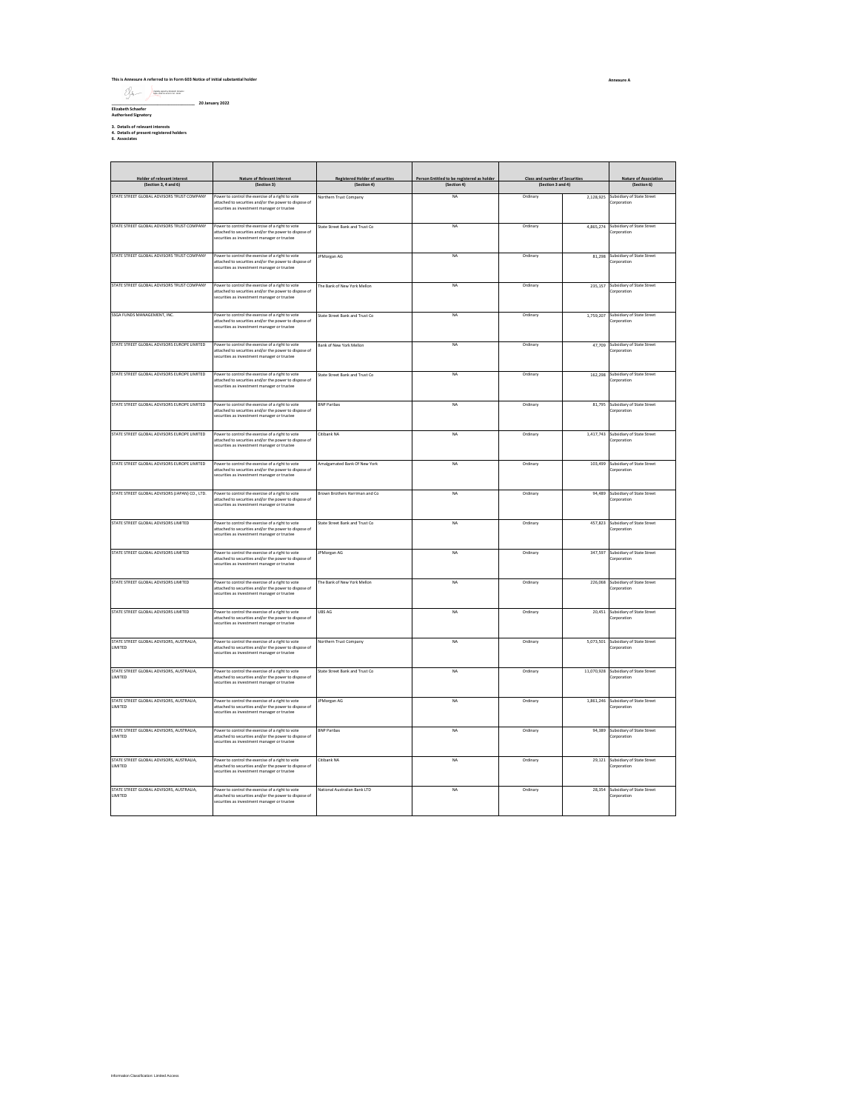# **This is Annexure A referred to in Form 603 Notice of initial substantial holder \_\_\_\_\_\_\_\_\_\_\_\_\_\_\_\_\_\_\_\_\_\_\_\_\_\_\_\_\_\_\_\_\_\_\_\_\_\_ 20 January 2022 Elizabeth Schaefer Authorised Signatory** Digitally signed by Elizabeth Schaefer Date: 2022.01.19 22:17:57 -05'00'

**3. Details of relevant interests 4. Details of present registered holders 6. Associates**

Ition Classification: Limited Access

| Holder of relevant interest                                | Nature of Relevant Interest                                                                                                                              | <b>Registered Holder of securities</b> | Person Entitled to be registered as holder | Class and number of Securities |           | Nature of Association                                |
|------------------------------------------------------------|----------------------------------------------------------------------------------------------------------------------------------------------------------|----------------------------------------|--------------------------------------------|--------------------------------|-----------|------------------------------------------------------|
| (Section 3, 4 and 6)                                       | (Section 3)                                                                                                                                              | (Section 4)                            | (Section 4)                                | (Section 3 and 4)              |           | (Section 6)                                          |
| STATE STREET GLOBAL ADVISORS TRUST COMPANY                 | Power to control the exercise of a right to vote                                                                                                         | <b>Northern Trust Company</b>          | NA                                         | Ordinary                       | 2.128.925 | Subsidiary of State Street                           |
|                                                            | attached to securities and/or the power to dispose of<br>securities as investment manager or trustee                                                     |                                        |                                            |                                |           | Corporation                                          |
| STATE STREET GLOBAL ADVISORS TRUST COMPANY                 | Power to control the exercise of a right to vote                                                                                                         | State Street Bank and Trust Co         | NA                                         | Ordinary                       | 4,865,274 | Subsidiary of State Street                           |
|                                                            | attached to securities and/or the power to dispose of<br>securities as investment manager or trustee                                                     |                                        |                                            |                                |           | Corporation                                          |
| STATE STREET GLOBAL ADVISORS TRUST COMPANY                 | Power to control the exercise of a right to vote<br>attached to securities and/or the power to dispose of<br>ecurities as investment manager or trustee  | <b>PMorgan AG</b>                      | NA                                         | Ordinary                       | 81.298    | Subsidiary of State Street<br>Corporation            |
| STATE STREET GLOBAL ADVISORS TRUST COMPANY                 | Power to control the exercise of a right to vote<br>attached to securities and/or the power to dispose of<br>securities as investment manager or trustee | The Bank of New York Mellon            | <b>NA</b>                                  | Ordinary                       | 235,157   | Subsidiary of State Street<br>Corporation            |
| SSGA FUNDS MANAGEMENT, INC.                                | Power to control the exercise of a right to vote<br>attached to securities and/or the power to dispose of<br>securities as investment manager or trustee | State Street Bank and Trust Co.        | <b>NA</b>                                  | Ordinary                       |           | 1,759,207 Subsidiary of State Street<br>Corporation  |
| STATE STREET GLOBAL ADVISORS EUROPE LIMITED                | Power to control the exercise of a right to vote<br>attached to securities and/or the power to dispose of<br>securities as investment manager or trustee | Bank of New York Mellon                | NA                                         | Ordinary                       |           | 47.709 Subsidiary of State Street<br>Corporation     |
| STATE STREET GLOBAL ADVISORS EUROPE LIMITED                | Power to control the exercise of a right to vote<br>attached to securities and/or the power to dispose of<br>securities as investment manager or trustee | State Street Bank and Trust Co         | NA                                         | Ordinary                       | 162.298   | Subsidiary of State Street<br>Corporation            |
| STATE STREET GLOBAL ADVISORS EUROPE LIMITED                | Power to control the exercise of a right to vote<br>attached to securities and/or the power to dispose of<br>ecurities as investment manager or trustee  | <b>RNP Paribas</b>                     | <b>NA</b>                                  | Ordinary                       |           | 81,795 Subsidiary of State Street<br>Corporation     |
| STATE STREET GLOBAL ADVISORS EUROPE LIMITED                | Power to control the exercise of a right to vote<br>attached to securities and/or the power to dispose of<br>securities as investment manager or trustee | Citibank NA                            | NA                                         | Ordinary                       | 1,417,743 | Subsidiary of State Street<br>Corporation            |
| STATE STREET GLOBAL ADVISORS EUROPE LIMITED                | Power to control the exercise of a right to vote<br>attached to securities and/or the power to dispose of<br>securities as investment manager or trustee | Imalgamated Bank Of New York           | <b>NA</b>                                  | Ordinary                       | 103,499   | Subsidiary of State Street<br>Corporation            |
| STATE STREET GLOBAL ADVISORS (JAPAN) CO., LTD.             | Power to control the exercise of a right to vote<br>attached to securities and/or the power to dispose of<br>securities as investment manager or trustee | Brown Brothers Harriman and Co.        | NA                                         | Ordinary                       |           | 94.489 Subsidiary of State Street<br>Corporation     |
| STATE STREET GLOBAL ADVISORS LIMITED                       | Power to control the exercise of a right to vote<br>attached to securities and/or the power to dispose of<br>securities as investment manager or trustee | State Street Bank and Trust Co         | NA                                         | Ordinary                       | 457,823   | Subsidiary of State Street<br>Corporation            |
| STATE STREET GLOBAL ADVISORS LIMITED                       | Power to control the exercise of a right to vote<br>attached to securities and/or the power to dispose of<br>ecurities as investment manager or trustee  | <b>IPMorgan AG</b>                     | NA                                         | Ordinary                       | 347,597   | Subsidiary of State Street<br>Corporation            |
| STATE STREET GLOBAL ADVISORS LIMITED                       | Power to control the exercise of a right to vote<br>attached to securities and/or the power to dispose of<br>ecurities as investment manager or trustee  | The Bank of New York Mellon            | NA                                         | Ordinary                       | 226,068   | Subsidiary of State Street<br>Corporation            |
| STATE STREET GLOBAL ADVISORS LIMITED                       | Power to control the exercise of a right to vote<br>attached to securities and/or the power to dispose of<br>securities as investment manager or trustee | UBS AG                                 | <b>NA</b>                                  | Ordinary                       |           | 20,451 Subsidiary of State Street<br>Corporation     |
| STATE STREET GLOBAL ADVISORS, AUSTRALIA,<br>LIMITED        | Power to control the exercise of a right to vote<br>attached to securities and/or the power to dispose of<br>securities as investment manager or trustee | Northern Trust Company                 | NA                                         | Ordinary                       |           | 5.073.501 Subsidiary of State Street<br>Corporation  |
| STATE STREET GLOBAL ADVISORS, AUSTRALIA,<br><b>LIMITED</b> | Power to control the exercise of a right to vote<br>attached to securities and/or the power to dispose of<br>securities as investment manager or trustee | State Street Bank and Trust Co.        | <b>NA</b>                                  | Ordinary                       |           | 11,070,928 Subsidiary of State Street<br>Corporation |
| STATE STREET GLOBAL ADVISORS, AUSTRALIA.<br><b>LIMITED</b> | Power to control the exercise of a right to vote<br>attached to securities and/or the power to dispose of<br>ecurities as investment manager or trustee  | <b>PMorgan AG</b>                      | <b>NA</b>                                  | Ordinary                       |           | 1,861,246 Subsidiary of State Street<br>Corporation  |
| STATE STREET GLOBAL ADVISORS, AUSTRALIA,<br><b>HMITED</b>  | Power to control the exercise of a right to vote<br>attached to securities and/or the power to dispose of<br>securities as investment manager or trustee | <b>BNP Paribas</b>                     | NA                                         | Ordinary                       | 94.389    | Subsidiary of State Street<br>Corporation            |
| STATE STREET GLOBAL ADVISORS, AUSTRALIA,<br><b>HMITED</b>  | Power to control the exercise of a right to vote<br>attached to securities and/or the power to dispose of<br>securities as investment manager or trustee | Citibank NA                            | NA                                         | Ordinary                       | 29,121    | Subsidiary of State Street<br>Corporation            |
| STATE STREET GLOBAL ADVISORS, AUSTRALIA.<br><b>LIMITED</b> | Power to control the exercise of a right to vote<br>attached to securities and/or the power to dispose of<br>securities as investment manager or trustee | National Australian Bank LTD           | <b>NA</b>                                  | Ordinary                       |           | 28.354 Subsidiary of State Street<br>Corporation     |

**Annexure A**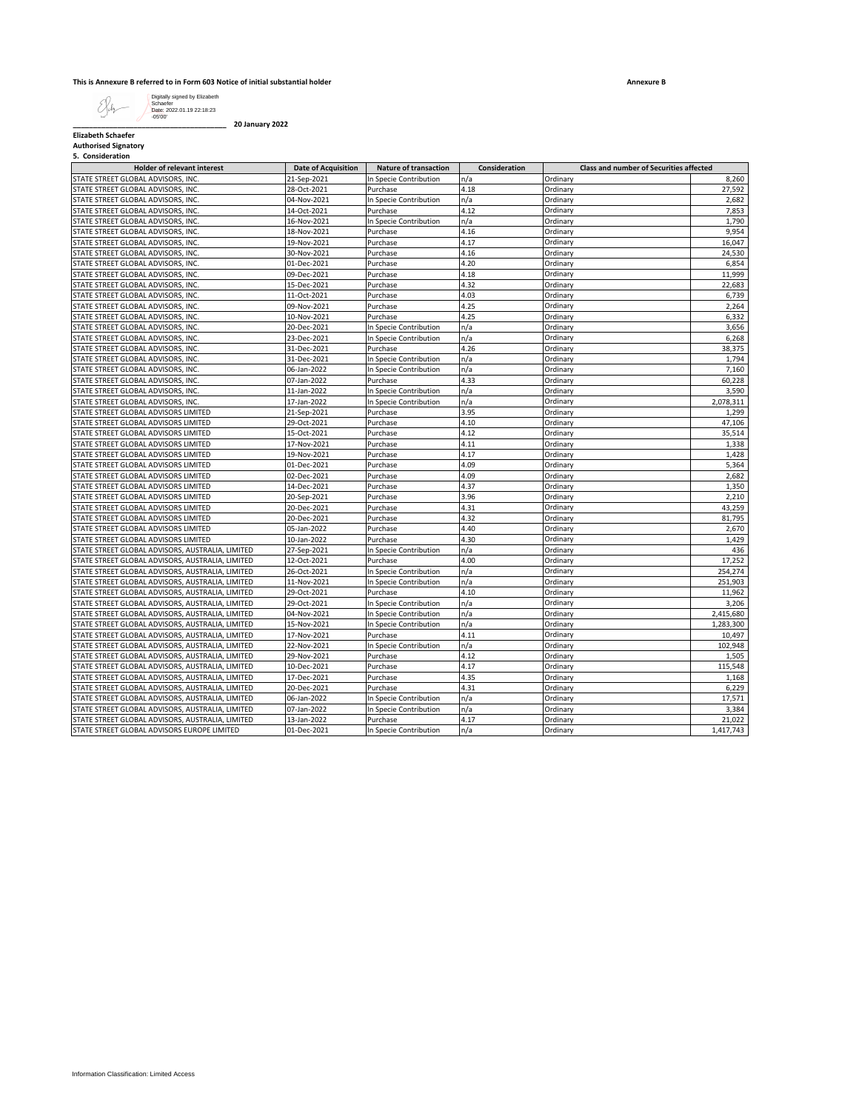## **This is Annexure B referred to in Form 603 Notice of initial substantial holder**

**Annexure B**

 $\mathcal{S}_{\mu}$ Digitally signed by Elizabeth Schaefer Date: 2022.01.19 22:18:23 -05'00'

**\_\_\_\_\_\_\_\_\_\_\_\_\_\_\_\_\_\_\_\_\_\_\_\_\_\_\_\_\_\_\_\_\_\_\_\_\_\_ 20 January 2022**

**Elizabeth Schaefer Authorised Signatory**

| 5. Consideration |  |
|------------------|--|

| J. CUIDIUCIALIUII<br><b>Holder of relevant interest</b>                  | <b>Date of Acquisition</b> | <b>Nature of transaction</b> | Consideration | Class and number of Securities affected |           |
|--------------------------------------------------------------------------|----------------------------|------------------------------|---------------|-----------------------------------------|-----------|
| STATE STREET GLOBAL ADVISORS, INC.                                       | 21-Sep-2021                | In Specie Contribution       | n/a           | Ordinary                                | 8,260     |
| STATE STREET GLOBAL ADVISORS, INC.                                       | 28-Oct-2021                | Purchase                     | 4.18          | Ordinary                                | 27,592    |
| STATE STREET GLOBAL ADVISORS, INC.                                       | 04-Nov-2021                | In Specie Contribution       | n/a           | Ordinary                                | 2,682     |
| STATE STREET GLOBAL ADVISORS, INC.                                       | 14-Oct-2021                | Purchase                     | 4.12          | Ordinary                                | 7,853     |
| STATE STREET GLOBAL ADVISORS, INC.                                       | 16-Nov-2021                | In Specie Contribution       | n/a           | Ordinary                                | 1,790     |
| STATE STREET GLOBAL ADVISORS, INC.                                       | 18-Nov-2021                | Purchase                     | 4.16          | Ordinary                                | 9,954     |
| STATE STREET GLOBAL ADVISORS, INC.                                       | 19-Nov-2021                | Purchase                     | 4.17          | Ordinary                                | 16,047    |
| STATE STREET GLOBAL ADVISORS, INC.                                       | 30-Nov-2021                | Purchase                     | 4.16          | Ordinary                                | 24,530    |
| STATE STREET GLOBAL ADVISORS, INC.                                       | 01-Dec-2021                | Purchase                     | 4.20          | Ordinary                                | 6,854     |
| STATE STREET GLOBAL ADVISORS, INC.                                       | 09-Dec-2021                |                              | 4.18          | Ordinary                                | 11,999    |
| STATE STREET GLOBAL ADVISORS, INC.                                       | 15-Dec-2021                | Purchase<br>Purchase         | 4.32          | Ordinary                                | 22,683    |
| STATE STREET GLOBAL ADVISORS, INC.                                       | 11-Oct-2021                | Purchase                     | 4.03          | Ordinary                                | 6,739     |
|                                                                          |                            |                              |               |                                         | 2,264     |
| STATE STREET GLOBAL ADVISORS, INC.<br>STATE STREET GLOBAL ADVISORS, INC. | 09-Nov-2021<br>10-Nov-2021 | Purchase<br>Purchase         | 4.25<br>4.25  | Ordinary                                | 6,332     |
|                                                                          |                            |                              | n/a           | Ordinary                                | 3,656     |
| STATE STREET GLOBAL ADVISORS, INC.                                       | 20-Dec-2021                | In Specie Contribution       |               | Ordinary                                |           |
| STATE STREET GLOBAL ADVISORS, INC.                                       | 23-Dec-2021                | In Specie Contribution       | n/a           | Ordinary                                | 6,268     |
| STATE STREET GLOBAL ADVISORS, INC.                                       | 31-Dec-2021                | Purchase                     | 4.26          | Ordinary                                | 38,375    |
| STATE STREET GLOBAL ADVISORS, INC.                                       | 31-Dec-2021                | In Specie Contribution       | n/a           | Ordinary                                | 1,794     |
| STATE STREET GLOBAL ADVISORS, INC.                                       | 06-Jan-2022                | In Specie Contribution       | n/a           | Ordinary                                | 7,160     |
| STATE STREET GLOBAL ADVISORS, INC.                                       | 07-Jan-2022                | Purchase                     | 4.33          | Ordinary                                | 60,228    |
| STATE STREET GLOBAL ADVISORS, INC.                                       | 11-Jan-2022                | In Specie Contribution       | n/a           | Ordinary                                | 3,590     |
| STATE STREET GLOBAL ADVISORS, INC.                                       | 17-Jan-2022                | In Specie Contribution       | n/a           | Ordinary                                | 2,078,311 |
| STATE STREET GLOBAL ADVISORS LIMITED                                     | 21-Sep-2021                | Purchase                     | 3.95          | Ordinary                                | 1,299     |
| STATE STREET GLOBAL ADVISORS LIMITED                                     | 29-Oct-2021                | Purchase                     | 4.10          | Ordinary                                | 47,106    |
| STATE STREET GLOBAL ADVISORS LIMITED                                     | 15-Oct-2021                | Purchase                     | 4.12          | Ordinary                                | 35,514    |
| STATE STREET GLOBAL ADVISORS LIMITED                                     | 17-Nov-2021                | Purchase                     | 4.11          | Ordinary                                | 1,338     |
| STATE STREET GLOBAL ADVISORS LIMITED                                     | 19-Nov-2021                | Purchase                     | 4.17          | Ordinary                                | 1,428     |
| STATE STREET GLOBAL ADVISORS LIMITED                                     | 01-Dec-2021                | Purchase                     | 4.09          | Ordinary                                | 5,364     |
| STATE STREET GLOBAL ADVISORS LIMITED                                     | 02-Dec-2021                | Purchase                     | 4.09          | Ordinary                                | 2,682     |
| STATE STREET GLOBAL ADVISORS LIMITED                                     | 14-Dec-2021                | Purchase                     | 4.37          | Ordinary                                | 1,350     |
| STATE STREET GLOBAL ADVISORS LIMITED                                     | 20-Sep-2021                | Purchase                     | 3.96          | Ordinary                                | 2,210     |
| STATE STREET GLOBAL ADVISORS LIMITED                                     | 20-Dec-2021                | Purchase                     | 4.31          | Ordinary                                | 43,259    |
| STATE STREET GLOBAL ADVISORS LIMITED                                     | 20-Dec-2021                | Purchase                     | 4.32          | Ordinary                                | 81,795    |
| STATE STREET GLOBAL ADVISORS LIMITED                                     | 05-Jan-2022                | Purchase                     | 4.40          | Ordinary                                | 2,670     |
| STATE STREET GLOBAL ADVISORS LIMITED                                     | 10-Jan-2022                | Purchase                     | 4.30          | Ordinary                                | 1,429     |
| STATE STREET GLOBAL ADVISORS, AUSTRALIA, LIMITED                         | 27-Sep-2021                | In Specie Contribution       | n/a           | Ordinary                                | 436       |
| STATE STREET GLOBAL ADVISORS, AUSTRALIA, LIMITED                         | 12-Oct-2021                | Purchase                     | 4.00          | Ordinary                                | 17,252    |
| STATE STREET GLOBAL ADVISORS, AUSTRALIA, LIMITED                         | 26-Oct-2021                | In Specie Contribution       | n/a           | Ordinary                                | 254,274   |
| STATE STREET GLOBAL ADVISORS, AUSTRALIA, LIMITED                         | 11-Nov-2021                | In Specie Contribution       | n/a           | Ordinary                                | 251,903   |
| STATE STREET GLOBAL ADVISORS, AUSTRALIA, LIMITED                         | 29-Oct-2021                | Purchase                     | 4.10          | Ordinary                                | 11,962    |
| STATE STREET GLOBAL ADVISORS, AUSTRALIA, LIMITED                         | 29-Oct-2021                | In Specie Contribution       | n/a           | Ordinary                                | 3,206     |
| STATE STREET GLOBAL ADVISORS, AUSTRALIA, LIMITED                         | 04-Nov-2021                | In Specie Contribution       | n/a           | Ordinary                                | 2,415,680 |
| STATE STREET GLOBAL ADVISORS, AUSTRALIA, LIMITED                         | 15-Nov-2021                | In Specie Contribution       | n/a           | Ordinary                                | 1,283,300 |
| STATE STREET GLOBAL ADVISORS, AUSTRALIA, LIMITED                         | 17-Nov-2021                | Purchase                     | 4.11          | Ordinary                                | 10,497    |
| STATE STREET GLOBAL ADVISORS, AUSTRALIA, LIMITED                         | 22-Nov-2021                | In Specie Contribution       | n/a           | Ordinary                                | 102,948   |
| STATE STREET GLOBAL ADVISORS, AUSTRALIA, LIMITED                         | 29-Nov-2021                | Purchase                     | 4.12          | Ordinary                                | 1,505     |
| STATE STREET GLOBAL ADVISORS, AUSTRALIA, LIMITED                         | 10-Dec-2021                | Purchase                     | 4.17          | Ordinary                                | 115,548   |
| STATE STREET GLOBAL ADVISORS, AUSTRALIA, LIMITED                         | 17-Dec-2021                | Purchase                     | 4.35          | Ordinary                                | 1,168     |
| STATE STREET GLOBAL ADVISORS, AUSTRALIA, LIMITED                         | 20-Dec-2021                | Purchase                     | 4.31          | Ordinary                                | 6,229     |
| STATE STREET GLOBAL ADVISORS, AUSTRALIA, LIMITED                         | 06-Jan-2022                | In Specie Contribution       | n/a           | Ordinary                                | 17,571    |
| STATE STREET GLOBAL ADVISORS, AUSTRALIA, LIMITED                         | 07-Jan-2022                | In Specie Contribution       | n/a           | Ordinary                                | 3,384     |
| STATE STREET GLOBAL ADVISORS, AUSTRALIA, LIMITED                         | 13-Jan-2022                | Purchase                     | 4.17          | Ordinary                                | 21,022    |
| STATE STREET GLOBAL ADVISORS EUROPE LIMITED                              | 01-Dec-2021                | In Specie Contribution       | n/a           | Ordinary                                | 1,417,743 |